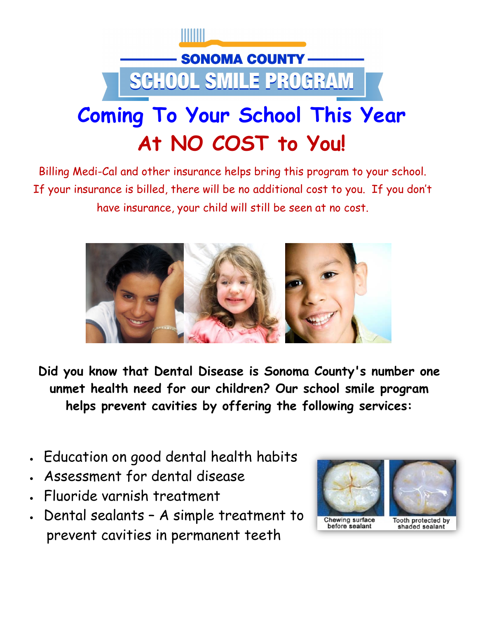

Billing Medi-Cal and other insurance helps bring this program to your school. If your insurance is billed, there will be no additional cost to you. If you don't have insurance, your child will still be seen at no cost.



**Did you know that Dental Disease is Sonoma County's number one unmet health need for our children? Our school smile program helps prevent cavities by offering the following services:**

- Education on good dental health habits
- Assessment for dental disease
- Fluoride varnish treatment
- Dental sealants A simple treatment to prevent cavities in permanent teeth